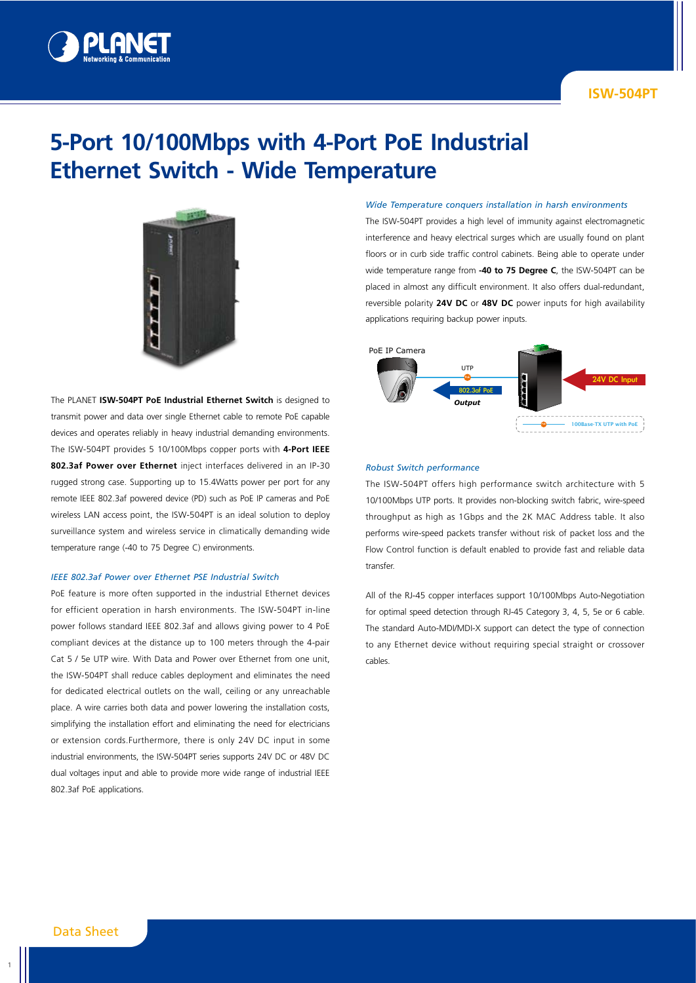

## **ISW-504PT**

# **5-Port 10/100Mbps with 4-Port PoE Industrial Ethernet Switch - Wide Temperature**



The PLANET **ISW-504PT PoE Industrial Ethernet Switch** is designed to transmit power and data over single Ethernet cable to remote PoE capable devices and operates reliably in heavy industrial demanding environments. The ISW-504PT provides 5 10/100Mbps copper ports with **4-Port IEEE 802.3af Power over Ethernet** inject interfaces delivered in an IP-30 rugged strong case. Supporting up to 15.4Watts power per port for any remote IEEE 802.3af powered device (PD) such as PoE IP cameras and PoE wireless LAN access point, the ISW-504PT is an ideal solution to deploy surveillance system and wireless service in climatically demanding wide temperature range (-40 to 75 Degree C) environments.

#### *IEEE 802.3af Power over Ethernet PSE Industrial Switch*

PoE feature is more often supported in the industrial Ethernet devices for efficient operation in harsh environments. The ISW-504PT in-line power follows standard IEEE 802.3af and allows giving power to 4 PoE compliant devices at the distance up to 100 meters through the 4-pair Cat 5 / 5e UTP wire. With Data and Power over Ethernet from one unit, the ISW-504PT shall reduce cables deployment and eliminates the need for dedicated electrical outlets on the wall, ceiling or any unreachable place. A wire carries both data and power lowering the installation costs, simplifying the installation effort and eliminating the need for electricians or extension cords.Furthermore, there is only 24V DC input in some industrial environments, the ISW-504PT series supports 24V DC or 48V DC dual voltages input and able to provide more wide range of industrial IEEE 802.3af PoE applications.

#### *Wide Temperature conquers installation in harsh environments*

The ISW-504PT provides a high level of immunity against electromagnetic interference and heavy electrical surges which are usually found on plant floors or in curb side traffic control cabinets. Being able to operate under wide temperature range from **-40 to 75 Degree C**, the ISW-504PT can be placed in almost any difficult environment. It also offers dual-redundant, reversible polarity **24V DC** or **48V DC** power inputs for high availability applications requiring backup power inputs.



#### *Robust Switch performance*

The ISW-504PT offers high performance switch architecture with 5 10/100Mbps UTP ports. It provides non-blocking switch fabric, wire-speed throughput as high as 1Gbps and the 2K MAC Address table. It also performs wire-speed packets transfer without risk of packet loss and the Flow Control function is default enabled to provide fast and reliable data transfer.

All of the RJ-45 copper interfaces support 10/100Mbps Auto-Negotiation for optimal speed detection through RJ-45 Category 3, 4, 5, 5e or 6 cable. The standard Auto-MDI/MDI-X support can detect the type of connection to any Ethernet device without requiring special straight or crossover cables.

1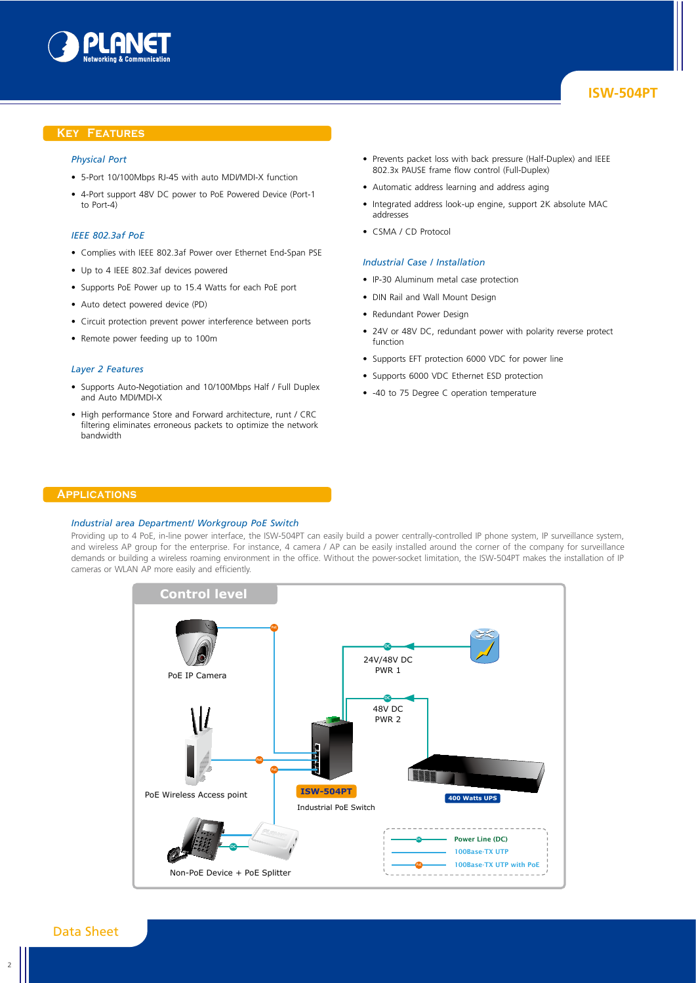

# **ISW-504PT**

### **Key Features**

## *Physical Port*

- 5-Port 10/100Mbps RJ-45 with auto MDI/MDI-X function
- 4-Port support 48V DC power to PoE Powered Device (Port-1 to Port-4)

#### *IEEE 802.3af PoE*

- Complies with IEEE 802.3af Power over Ethernet End-Span PSE
- Up to 4 IEEE 802.3af devices powered
- Supports PoE Power up to 15.4 Watts for each PoE port
- Auto detect powered device (PD)
- Circuit protection prevent power interference between ports
- Remote power feeding up to 100m

#### *Layer 2 Features*

- Supports Auto-Negotiation and 10/100Mbps Half / Full Duplex and Auto MDI/MDI-X
- High performance Store and Forward architecture, runt / CRC filtering eliminates erroneous packets to optimize the network bandwidth
- Prevents packet loss with back pressure (Half-Duplex) and IEEE 802.3x PAUSE frame flow control (Full-Duplex)
- Automatic address learning and address aging
- Integrated address look-up engine, support 2K absolute MAC addresses
- CSMA / CD Protocol

#### *Industrial Case / Installation*

- IP-30 Aluminum metal case protection
- DIN Rail and Wall Mount Design
- Redundant Power Design
- 24V or 48V DC, redundant power with polarity reverse protect function
- Supports EFT protection 6000 VDC for power line
- Supports 6000 VDC Ethernet ESD protection
- -40 to 75 Degree C operation temperature

## **Applications**

#### *Industrial area Department/ Workgroup PoE Switch*

Providing up to 4 PoE, in-line power interface, the ISW-504PT can easily build a power centrally-controlled IP phone system, IP surveillance system, and wireless AP group for the enterprise. For instance, 4 camera / AP can be easily installed around the corner of the company for surveillance demands or building a wireless roaming environment in the office. Without the power-socket limitation, the ISW-504PT makes the installation of IP cameras or WLAN AP more easily and efficiently.



## Data Sheet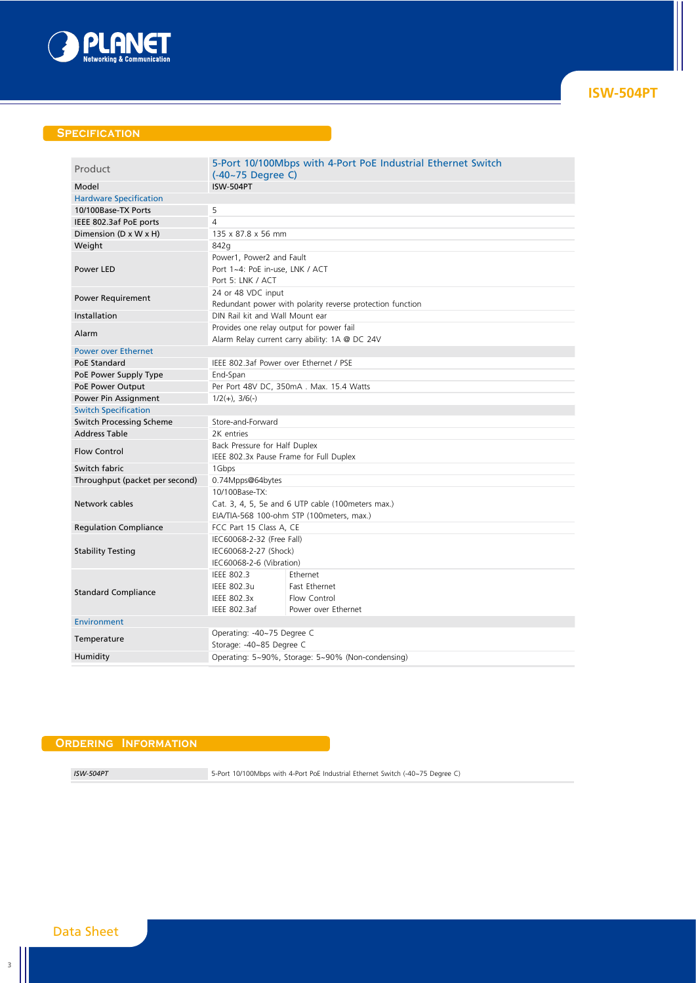

## **Specification**

| Product                        | $(-40-75$ Degree C)                                       | 5-Port 10/100Mbps with 4-Port PoE Industrial Ethernet Switch |  |
|--------------------------------|-----------------------------------------------------------|--------------------------------------------------------------|--|
| Model                          | <b>ISW-504PT</b>                                          |                                                              |  |
| <b>Hardware Specification</b>  |                                                           |                                                              |  |
| 10/100Base-TX Ports            | 5                                                         |                                                              |  |
| IEEE 802.3af PoE ports         | $\overline{A}$                                            |                                                              |  |
| Dimension (D x W x H)          | 135 x 87.8 x 56 mm                                        |                                                              |  |
| Weight                         | 842g                                                      |                                                              |  |
| Power I FD                     | Power1, Power2 and Fault                                  |                                                              |  |
|                                | Port 1~4: PoE in-use, LNK / ACT                           |                                                              |  |
|                                | Port 5: LNK / ACT                                         |                                                              |  |
| <b>Power Requirement</b>       | 24 or 48 VDC input                                        |                                                              |  |
|                                | Redundant power with polarity reverse protection function |                                                              |  |
| Installation                   | DIN Rail kit and Wall Mount ear                           |                                                              |  |
| Alarm                          | Provides one relay output for power fail                  |                                                              |  |
|                                | Alarm Relay current carry ability: 1A @ DC 24V            |                                                              |  |
| <b>Power over Ethernet</b>     |                                                           |                                                              |  |
| PoE Standard                   | IEEE 802.3af Power over Ethernet / PSE                    |                                                              |  |
| PoE Power Supply Type          | End-Span                                                  |                                                              |  |
| PoE Power Output               | Per Port 48V DC, 350mA. Max. 15.4 Watts                   |                                                              |  |
| Power Pin Assignment           | $1/2(+)$ , $3/6(-)$                                       |                                                              |  |
| <b>Switch Specification</b>    |                                                           |                                                              |  |
| Switch Processing Scheme       | Store-and-Forward                                         |                                                              |  |
| <b>Address Table</b>           | 2K entries                                                |                                                              |  |
|                                | Back Pressure for Half Duplex                             |                                                              |  |
| <b>Flow Control</b>            | IEEE 802.3x Pause Frame for Full Duplex                   |                                                              |  |
| Switch fabric                  | 1Gbps                                                     |                                                              |  |
| Throughput (packet per second) | 0.74Mpps@64bytes                                          |                                                              |  |
| Network cables                 | 10/100Base-TX:                                            |                                                              |  |
|                                | Cat. 3, 4, 5, 5e and 6 UTP cable (100 meters max.)        |                                                              |  |
|                                | EIA/TIA-568 100-ohm STP (100meters, max.)                 |                                                              |  |
| <b>Regulation Compliance</b>   | FCC Part 15 Class A, CE                                   |                                                              |  |
| <b>Stability Testing</b>       | IEC60068-2-32 (Free Fall)                                 |                                                              |  |
|                                | IEC60068-2-27 (Shock)                                     |                                                              |  |
|                                | IEC60068-2-6 (Vibration)                                  |                                                              |  |
| <b>Standard Compliance</b>     | IEEE 802.3                                                | Ethernet                                                     |  |
|                                | IEEE 802.3u                                               | Fast Ethernet                                                |  |
|                                | IEEE 802.3x                                               | Flow Control                                                 |  |
|                                | IEEE 802.3af                                              | Power over Ethernet                                          |  |
| Environment                    |                                                           |                                                              |  |
| Temperature                    | Operating: -40~75 Degree C                                |                                                              |  |
|                                | Storage: -40~85 Degree C                                  |                                                              |  |
| Humidity                       |                                                           | Operating: 5~90%, Storage: 5~90% (Non-condensing)            |  |
|                                |                                                           |                                                              |  |

## **Ordering Information**

*ISW-504PT* 5-Port 10/100Mbps with 4-Port PoE Industrial Ethernet Switch (-40~75 Degree C)

# Data Sheet